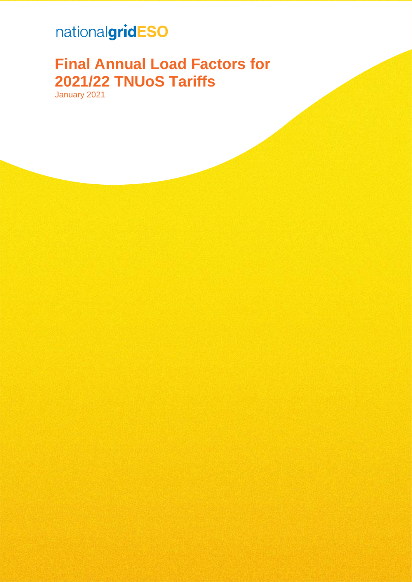## nationalgridESO

# **Final Annual Load Factors for 2021/22 TNUoS Tariffs**

January 2021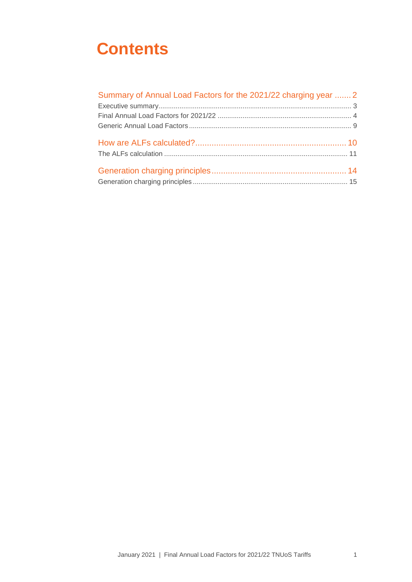# **Contents**

| Summary of Annual Load Factors for the 2021/22 charging year  2 |  |
|-----------------------------------------------------------------|--|
|                                                                 |  |
|                                                                 |  |
|                                                                 |  |
|                                                                 |  |
|                                                                 |  |
|                                                                 |  |
|                                                                 |  |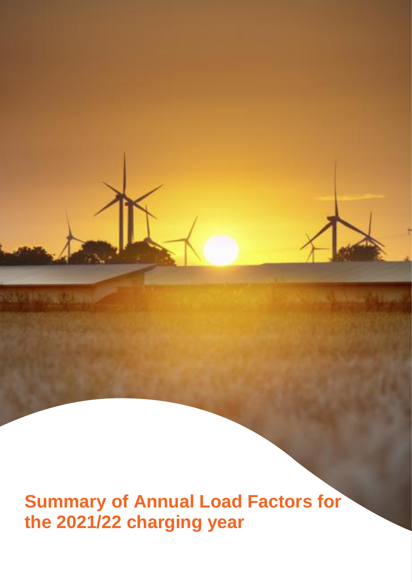<span id="page-2-0"></span>**Summary of Annual Load Factors for the 2021/22 charging year**

NAV INVANCIAN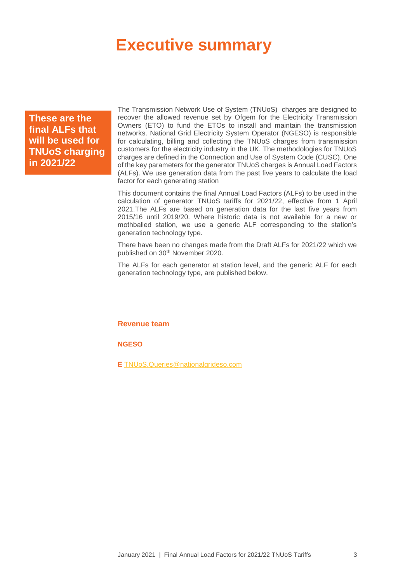## <span id="page-3-0"></span>**Executive summary**

**These are the final ALFs that will be used for TNUoS charging in 2021/22**

The Transmission Network Use of System (TNUoS) charges are designed to recover the allowed revenue set by Ofgem for the Electricity Transmission Owners (ETO) to fund the ETOs to install and maintain the transmission networks. National Grid Electricity System Operator (NGESO) is responsible for calculating, billing and collecting the TNUoS charges from transmission customers for the electricity industry in the UK. The methodologies for TNUoS charges are defined in the Connection and Use of System Code (CUSC). One of the key parameters for the generator TNUoS charges is Annual Load Factors (ALFs). We use generation data from the past five years to calculate the load factor for each generating station

This document contains the final Annual Load Factors (ALFs) to be used in the calculation of generator TNUoS tariffs for 2021/22, effective from 1 April 2021.The ALFs are based on generation data for the last five years from 2015/16 until 2019/20. Where historic data is not available for a new or mothballed station, we use a generic ALF corresponding to the station's generation technology type.

There have been no changes made from the Draft ALFs for 2021/22 which we published on 30th November 2020.

The ALFs for each generator at station level, and the generic ALF for each generation technology type, are published below.

**Revenue team**

**NGESO**

**E** [TNUoS.Queries@nationalgrideso.com](mailto:TNUoS.Queries@nationalgrideso.com)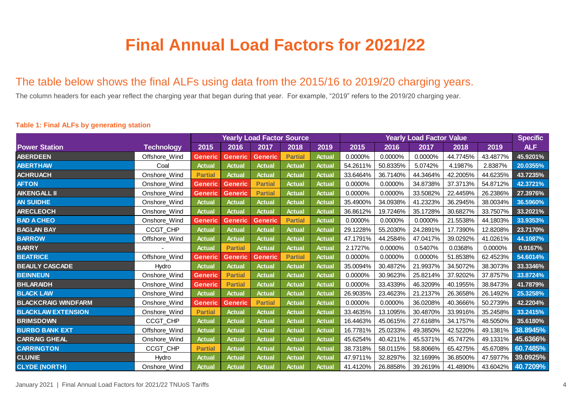# **Final Annual Load Factors for 2021/22**

### The table below shows the final ALFs using data from the 2015/16 to 2019/20 charging years.

The column headers for each year reflect the charging year that began during that year. For example, "2019" refers to the 2019/20 charging year.

# **2015 2016 2017 2018 2019 2015 2016 2017 2018 2019 ABERDEEN** Offshore\_Wind **Generic Generic Generic Partial Actual** 0.0000% 0.0000% 0.0000% 44.7745% 43.4877% **45.9201% Power Station Technology Yearly Load Factor Source Yearly Load Factor Value Specific**

#### **Table 1: Final ALFs by generating station**

<span id="page-4-0"></span>

| <b>ABERTHAW</b>            | Coal          | <b>Actual</b>  | <b>Actual</b>  | <b>Actual</b>  | <b>Actual</b>  | <b>Actual</b> | 54.2611% | 50.8335% | 5.0742%  | 4.1987%  | 2.8387%  | 20.0355% |
|----------------------------|---------------|----------------|----------------|----------------|----------------|---------------|----------|----------|----------|----------|----------|----------|
| <b>ACHRUACH</b>            | Onshore_Wind  | <b>Partial</b> | <b>Actual</b>  | <b>Actual</b>  | <b>Actual</b>  | <b>Actual</b> | 33.6464% | 36.7140% | 44.3464% | 42.2005% | 44.6235% | 43.7235% |
| <b>AFTON</b>               | Onshore_Wind  | <b>Generic</b> | <b>Generic</b> | <b>Partial</b> | <b>Actual</b>  | <b>Actual</b> | 0.0000%  | 0.0000%  | 34.8738% | 37.3713% | 54.8712% | 42.3721% |
| AIKENGALL II               | Onshore_Wind  | <b>Generic</b> | <b>Generic</b> | <b>Partial</b> | <b>Actual</b>  | <b>Actual</b> | 0.0000%  | 0.0000%  | 33.5082% | 22.4459% | 26.2386% | 27.3976% |
| <b>AN SUIDHE</b>           | Onshore_Wind  | <b>Actual</b>  | <b>Actual</b>  | <b>Actual</b>  | <b>Actual</b>  | <b>Actual</b> | 35.4900% | 34.0938% | 41.2323% | 36.2945% | 38.0034% | 36.5960% |
| <b>ARECLEOCH</b>           | Onshore_Wind  | <b>Actual</b>  | <b>Actual</b>  | <b>Actual</b>  | <b>Actual</b>  | <b>Actual</b> | 36.8612% | 19.7246% | 35.1728% | 30.6827% | 33.7507% | 33.2021% |
| <b>BAD A CHEO</b>          | Onshore_Wind  | Generic        | <b>Generic</b> | <b>Generic</b> | <b>Partial</b> | <b>Actual</b> | 0.0000%  | 0.0000%  | 0.0000%  | 21.5538% | 44.1803% | 33.9353% |
| <b>BAGLAN BAY</b>          | CCGT_CHP      | <b>Actual</b>  | <b>Actual</b>  | <b>Actual</b>  | <b>Actual</b>  | <b>Actual</b> | 29.1228% | 55.2030% | 24.2891% | 17.7390% | 12.8208% | 23.7170% |
| <b>BARROW</b>              | Offshore_Wind | <b>Actual</b>  | <b>Actual</b>  | <b>Actual</b>  | <b>Actual</b>  | <b>Actual</b> | 47.1791% | 44.2584% | 47.0417% | 39.0292% | 41.0261% | 44.1087% |
| <b>BARRY</b>               |               | <b>Actual</b>  | <b>Partial</b> | <b>Actual</b>  | <b>Actual</b>  | <b>Actual</b> | 2.1727%  | 0.0000%  | 0.5407%  | 0.0368%  | 0.0000%  | 0.9167%  |
| <b>BEATRICE</b>            | Offshore_Wind | <b>Generic</b> | <b>Generic</b> | <b>Generic</b> | <b>Partial</b> | <b>Actual</b> | 0.0000%  | 0.0000%  | 0.0000%  | 51.8538% | 62.4523% | 54.6014% |
| <b>BEAULY CASCADE</b>      | Hydro         | <b>Actual</b>  | <b>Actual</b>  | <b>Actual</b>  | <b>Actual</b>  | <b>Actual</b> | 35.0094% | 30.4872% | 21.9937% | 34.5072% | 38.3073% | 33.3346% |
| <b>BEINNEUN</b>            | Onshore_Wind  | <b>Generic</b> | <b>Partial</b> | <b>Actual</b>  | <b>Actual</b>  | <b>Actual</b> | 0.0000%  | 30.9623% | 25.8214% | 37.9202% | 37.8757% | 33.8724% |
| <b>BHLARAIDH</b>           | Onshore_Wind  | <b>Generic</b> | <b>Partial</b> | <b>Actual</b>  | <b>Actual</b>  | <b>Actual</b> | 0.0000%  | 33.4339% | 46.3209% | 40.1955% | 38.8473% | 41.7879% |
| <b>BLACK LAW</b>           | Onshore_Wind  | <b>Actual</b>  | <b>Actual</b>  | <b>Actual</b>  | <b>Actual</b>  | <b>Actual</b> | 26.9035% | 23.4623% | 21.2137% | 26.3658% | 26.1492% | 25.3258% |
| <b>BLACKCRAIG WINDFARM</b> | Onshore_Wind  | <b>Generic</b> | <b>Generic</b> | <b>Partial</b> | <b>Actual</b>  | <b>Actual</b> | 0.0000%  | 0.0000%  | 36.0208% | 40.3666% | 50.2739% | 42.2204% |
| <b>BLACKLAW EXTENSION</b>  | Onshore_Wind  | <b>Partial</b> | <b>Actual</b>  | <b>Actual</b>  | <b>Actual</b>  | <b>Actual</b> | 33.4635% | 13.1095% | 30.4870% | 33.9916% | 35.2458% | 33.2415% |
| <b>BRIMSDOWN</b>           | CCGT_CHP      | <b>Actual</b>  | <b>Actual</b>  | <b>Actual</b>  | <b>Actual</b>  | <b>Actual</b> | 16.4463% | 45.0615% | 27.6168% | 34.1757% | 48.5050% | 35.6180% |
| <b>BURBO BANK EXT</b>      | Offshore_Wind | <b>Actual</b>  | <b>Actual</b>  | <b>Actual</b>  | <b>Actual</b>  | <b>Actual</b> | 16.7781% | 25.0233% | 49.3850% | 42.5220% | 49.1381% | 38.8945% |
| <b>CARRAIG GHEAL</b>       | Onshore_Wind  | <b>Actual</b>  | <b>Actual</b>  | <b>Actual</b>  | <b>Actual</b>  | <b>Actual</b> | 45.6254% | 40.4211% | 45.5371% | 45.7472% | 49.1331% | 45.6366% |
| <b>CARRINGTON</b>          | CCGT_CHP      | <b>Partial</b> | <b>Actual</b>  | <b>Actual</b>  | <b>Actual</b>  | <b>Actual</b> | 38.7318% | 58.0115% | 58.8066% | 65.4275% | 45.6708% | 60.7485% |
| <b>CLUNIE</b>              | Hydro         | <b>Actual</b>  | <b>Actual</b>  | <b>Actual</b>  | <b>Actual</b>  | <b>Actual</b> | 47.9711% | 32.8297% | 32.1699% | 36.8500% | 47.5977% | 39.0925% |
| <b>CLYDE (NORTH)</b>       | Onshore_Wind  | <b>Actual</b>  | <b>Actual</b>  | <b>Actual</b>  | <b>Actual</b>  | <b>Actual</b> | 41.4120% | 26.8858% | 39.2619% | 41.4890% | 43.6042% | 40.7209% |

**ALF**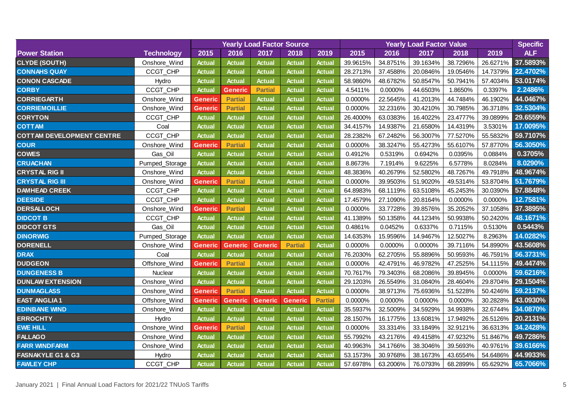|                                  |                   | <b>Yearly Load Factor Source</b> |                |                |                |                |          | <b>Specific</b> |          |          |          |            |
|----------------------------------|-------------------|----------------------------------|----------------|----------------|----------------|----------------|----------|-----------------|----------|----------|----------|------------|
| <b>Power Station</b>             | <b>Technology</b> | 2015                             | 2016           | 2017           | 2018           | 2019           | 2015     | 2016            | 2017     | 2018     | 2019     | <b>ALF</b> |
| <b>CLYDE (SOUTH)</b>             | Onshore_Wind      | <b>Actual</b>                    | <b>Actual</b>  | <b>Actual</b>  | <b>Actual</b>  | <b>Actual</b>  | 39.9615% | 34.8751%        | 39.1634% | 38.7296% | 26.6271% | 37.5893%   |
| <b>CONNAHS QUAY</b>              | CCGT_CHP          | <b>Actual</b>                    | <b>Actual</b>  | <b>Actual</b>  | <b>Actual</b>  | <b>Actual</b>  | 28.2713% | 37.4588%        | 20.0846% | 19.0546% | 14.7379% | 22.4702%   |
| <b>CONON CASCADE</b>             | Hydro             | <b>Actual</b>                    | <b>Actual</b>  | <b>Actual</b>  | <b>Actual</b>  | <b>Actual</b>  | 58.9860% | 48.6782%        | 50.8547% | 50.7941% | 57.4034% | 53.0174%   |
| <b>CORBY</b>                     | CCGT_CHP          | <b>Actual</b>                    | <b>Generic</b> | <b>Partial</b> | <b>Actual</b>  | <b>Actual</b>  | 4.5411%  | 0.0000%         | 44.6503% | 1.8650%  | 0.3397%  | 2.2486%    |
| <b>CORRIEGARTH</b>               | Onshore_Wind      | <b>Generic</b>                   | <b>Partial</b> | <b>Actual</b>  | <b>Actual</b>  | <b>Actual</b>  | 0.0000%  | 22.5645%        | 41.2013% | 44.7484% | 46.1902% | 44.0467%   |
| <b>CORRIEMOILLIE</b>             | Onshore_Wind      | <b>Generic</b>                   | <b>Partial</b> | <b>Actual</b>  | <b>Actual</b>  | <b>Actual</b>  | 0.0000%  | 32.2316%        | 30.4210% | 30.7985% | 36.3718% | 32.5304%   |
| <b>CORYTON</b>                   | CCGT_CHP          | <b>Actual</b>                    | <b>Actual</b>  | <b>Actual</b>  | <b>Actual</b>  | <b>Actual</b>  | 26.4000% | 63.0383%        | 16.4022% | 23.4777% | 39.0899% | 29.6559%   |
| <b>COTTAM</b>                    | Coal              | <b>Actual</b>                    | <b>Actual</b>  | <b>Actual</b>  | <b>Actual</b>  | <b>Actual</b>  | 34.4157% | 14.9387%        | 21.6580% | 14.4319% | 3.5301%  | 17.0095%   |
| <b>COTTAM DEVELOPMENT CENTRE</b> | CCGT_CHP          | <b>Actual</b>                    | <b>Actual</b>  | <b>Actual</b>  | <b>Actual</b>  | <b>Actual</b>  | 28.2382% | 67.2482%        | 56.3007% | 77.5270% | 55.5832% | 59.7107%   |
| <b>COUR</b>                      | Onshore_Wind      | Generic                          | <b>Partial</b> | <b>Actual</b>  | <b>Actual</b>  | <b>Actual</b>  | 0.0000%  | 38.3247%        | 55.4273% | 55.6107% | 57.8770% | 56.3050%   |
| <b>COWES</b>                     | Gas_Oil           | <b>Actual</b>                    | Actual         | <b>Actual</b>  | <b>Actual</b>  | <b>Actual</b>  | 0.4912%  | 0.5319%         | 0.6942%  | 0.0395%  | 0.0884%  | 0.3705%    |
| <b>CRUACHAN</b>                  | Pumped_Storage    | <b>Actual</b>                    | <b>Actual</b>  | <b>Actual</b>  | <b>Actual</b>  | <b>Actual</b>  | 8.8673%  | 7.1914%         | 9.6225%  | 6.5778%  | 8.0284%  | 8.0290%    |
| <b>CRYSTAL RIG II</b>            | Onshore_Wind      | <b>Actual</b>                    | <b>Actual</b>  | <b>Actual</b>  | <b>Actual</b>  | <b>Actual</b>  | 48.3836% | 40.2679%        | 52.5802% | 48.7267% | 49.7918% | 48.9674%   |
| <b>CRYSTAL RIG III</b>           | Onshore_Wind      | Generic                          | <b>Partial</b> | <b>Actual</b>  | <b>Actual</b>  | <b>Actual</b>  | 0.0000%  | 39.9503%        | 51.9020% | 49.5314% | 53.8704% | 51.7679%   |
| <b>DAMHEAD CREEK</b>             | CCGT_CHP          | <b>Actual</b>                    | <b>Actual</b>  | <b>Actual</b>  | <b>Actual</b>  | <b>Actual</b>  | 64.8983% | 68.1119%        | 63.5108% | 45.2453% | 30.0390% | 57.8848%   |
| <b>DEESIDE</b>                   | CCGT_CHP          | <b>Actual</b>                    | <b>Actual</b>  | <b>Actual</b>  | <b>Actual</b>  | <b>Actual</b>  | 17.4579% | 27.1090%        | 20.8164% | 0.0000%  | 0.0000%  | 12.7581%   |
| <b>DERSALLOCH</b>                | Onshore_Wind      | Generic                          | <b>Partial</b> | <b>Actual</b>  | <b>Actual</b>  | <b>Actual</b>  | 0.0000%  | 33.7728%        | 39.8576% | 35.2052% | 37.1058% | 37.3895%   |
| <b>DIDCOT B</b>                  | CCGT_CHP          | <b>Actual</b>                    | <b>Actual</b>  | <b>Actual</b>  | <b>Actual</b>  | <b>Actual</b>  | 41.1389% | 50.1358%        | 44.1234% | 50.9938% | 50.2420% | 48.1671%   |
| <b>DIDCOT GTS</b>                | Gas_Oil           | <b>Actual</b>                    | <b>Actual</b>  | <b>Actual</b>  | <b>Actual</b>  | <b>Actual</b>  | 0.4861%  | 0.0452%         | 0.6337%  | 0.7115%  | 0.5130%  | 0.5443%    |
| <b>DINORWIG</b>                  | Pumped_Storage    | <b>Actual</b>                    | <b>Actual</b>  | <b>Actual</b>  | <b>Actual</b>  | <b>Actual</b>  | 14.6353% | 15.9596%        | 14.9467% | 12.5027% | 8.2963%  | 14.0282%   |
| <b>DORENELL</b>                  | Onshore_Wind      | <b>Generic</b>                   | <b>Generic</b> | <b>Generic</b> | <b>Partial</b> | <b>Actual</b>  | 0.0000%  | 0.0000%         | 0.0000%  | 39.7116% | 54.8990% | 43.5608%   |
| <b>DRAX</b>                      | Coal              | <b>Actual</b>                    | <b>Actual</b>  | <b>Actual</b>  | <b>Actual</b>  | <b>Actual</b>  | 76.2030% | 62.2705%        | 55.8896% | 50.9593% | 46.7591% | 56.3731%   |
| <b>DUDGEON</b>                   | Offshore_Wind     | Generic                          | <b>Partial</b> | <b>Actual</b>  | <b>Actual</b>  | <b>Actual</b>  | 0.0000%  | 42.4791%        | 46.9782% | 47.2525% | 54.1115% | 49.4474%   |
| <b>DUNGENESS B</b>               | Nuclear           | <b>Actual</b>                    | <b>Actual</b>  | <b>Actual</b>  | <b>Actual</b>  | <b>Actual</b>  | 70.7617% | 79.3403%        | 68.2086% | 39.8945% | 0.0000%  | 59.6216%   |
| <b>DUNLAW EXTENSION</b>          | Onshore_Wind      | <b>Actual</b>                    | <b>Actual</b>  | <b>Actual</b>  | <b>Actual</b>  | <b>Actual</b>  | 29.1203% | 26.5549%        | 31.0840% | 28.4604% | 29.8704% | 29.1504%   |
| <b>DUNMAGLASS</b>                | Onshore_Wind      | <b>Generic</b>                   | <b>Partial</b> | <b>Actual</b>  | <b>Actual</b>  | <b>Actual</b>  | 0.0000%  | 38.9713%        | 75.6936% | 51.5228% | 50.4246% | 59.2137%   |
| <b>EAST ANGLIA1</b>              | Offshore_Wind     | <b>Generic</b>                   | <b>Generic</b> | <b>Generic</b> | <b>Generic</b> | <b>Partial</b> | 0.0000%  | 0.0000%         | 0.0000%  | 0.0000%  | 30.2828% | 43.0930%   |
| <b>EDINBANE WIND</b>             | Onshore_Wind      | <b>Actual</b>                    | Actual         | <b>Actual</b>  | <b>Actual</b>  | <b>Actual</b>  | 35.5937% | 32.5009%        | 34.5929% | 34.9938% | 32.6744% | 34.0870%   |
| <b>ERROCHTY</b>                  | Hydro             | <b>Actual</b>                    | <b>Actual</b>  | <b>Actual</b>  | <b>Actual</b>  | <b>Actual</b>  | 28.1507% | 16.1775%        | 13.6081% | 17.9492% | 26.5126% | 20.2131%   |
| <b>EWE HILL</b>                  | Onshore_Wind      | <b>Generic</b>                   | <b>Partial</b> | <b>Actual</b>  | <b>Actual</b>  | <b>Actual</b>  | 0.0000%  | 33.3314%        | 33.1849% | 32.9121% | 36.6313% | 34.2428%   |
| <b>FALLAGO</b>                   | Onshore_Wind      | <b>Actual</b>                    | <b>Actual</b>  | <b>Actual</b>  | <b>Actual</b>  | <b>Actual</b>  | 55.7992% | 43.2176%        | 49.4158% | 47.9232% | 51.8467% | 49.7286%   |
| <b>FARR WINDFARM</b>             | Onshore_Wind      | <b>Actual</b>                    | <b>Actual</b>  | <b>Actual</b>  | <b>Actual</b>  | <b>Actual</b>  | 40.9963% | 34.1766%        | 38.3046% | 39.5693% | 40.9761% | 39.6166%   |
| <b>FASNAKYLE G1 &amp; G3</b>     | Hydro             | <b>Actual</b>                    | <b>Actual</b>  | <b>Actual</b>  | <b>Actual</b>  | <b>Actual</b>  | 53.1573% | 30.9768%        | 38.1673% | 43.6554% | 54.6486% | 44.9933%   |
| <b>FAWLEY CHP</b>                | CCGT CHP          | <b>Actual</b>                    | <b>Actual</b>  | <b>Actual</b>  | <b>Actual</b>  | <b>Actual</b>  | 57.6978% | 63.2006%        | 76.0793% | 68.2899% | 65.6292% | 65.7066%   |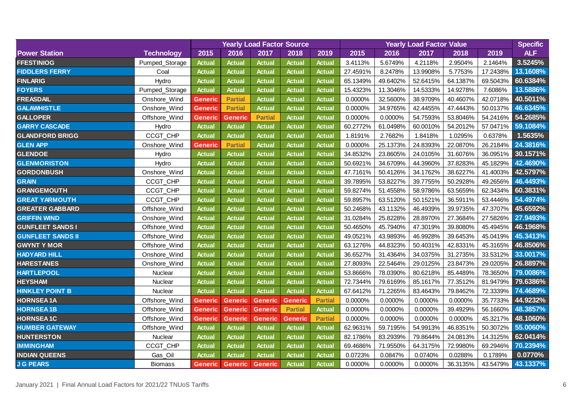|                          |                   |                |                        |                | <b>Yearly Load Factor Source</b> |                |          | <b>Specific</b> |          |          |          |            |
|--------------------------|-------------------|----------------|------------------------|----------------|----------------------------------|----------------|----------|-----------------|----------|----------|----------|------------|
| <b>Power Station</b>     | <b>Technology</b> | 2015           | 2016                   | 2017           | 2018                             | 2019           | 2015     | 2016            | 2017     | 2018     | 2019     | <b>ALF</b> |
| <b>FFESTINIOG</b>        | Pumped_Storage    | <b>Actual</b>  | <b>Actual</b>          | <b>Actual</b>  | <b>Actual</b>                    | <b>Actual</b>  | 3.4113%  | 5.6749%         | 4.2118%  | 2.9504%  | 2.1464%  | 3.5245%    |
| <b>FIDDLERS FERRY</b>    | Coal              | <b>Actual</b>  | <b>Actual</b>          | <b>Actual</b>  | <b>Actual</b>                    | <b>Actual</b>  | 27.4591% | 8.2478%         | 13.9908% | 5.7753%  | 17.2438% | 13.1608%   |
| <b>FINLARIG</b>          | Hydro             | <b>Actual</b>  | <b>Actual</b>          | <b>Actual</b>  | <b>Actual</b>                    | <b>Actual</b>  | 65.1349% | 49.6402%        | 52.6415% | 64.1387% | 69.5043% | 60.6384%   |
| <b>FOYERS</b>            | Pumped_Storage    | <b>Actual</b>  | <b>Actual</b>          | <b>Actual</b>  | <b>Actual</b>                    | <b>Actual</b>  | 15.4323% | 11.3046%        | 14.5333% | 14.9278% | 7.6086%  | 13.5886%   |
| <b>FREASDAIL</b>         | Onshore_Wind      | <b>Generic</b> | <b>Partial</b>         | <b>Actual</b>  | <b>Actual</b>                    | <b>Actual</b>  | 0.0000%  | 32.5600%        | 38.9709% | 40.4607% | 42.0718% | 40.5011%   |
| <b>GALAWHISTLE</b>       | Onshore_Wind      | <b>Generic</b> | <b>Partial</b>         | <b>Actual</b>  | <b>Actual</b>                    | <b>Actual</b>  | 0.0000%  | 34.9765%        | 42.4455% | 47.4443% | 50.0137% | 46.6345%   |
| <b>GALLOPER</b>          | Offshore_Wind     | Generic        | <b>Generic</b>         | <b>Partial</b> | <b>Actual</b>                    | <b>Actual</b>  | 0.0000%  | 0.0000%         | 54.7593% | 53.8046% | 54.2416% | 54.2685%   |
| <b>GARRY CASCADE</b>     | Hydro             | <b>Actual</b>  | <b>Actual</b>          | <b>Actual</b>  | <b>Actual</b>                    | <b>Actual</b>  | 60.2772% | 61.0498%        | 60.0010% | 54.2012% | 57.0471% | 59.1084%   |
| <b>GLANDFORD BRIGG</b>   | CCGT_CHP          | <b>Actual</b>  | <b>Actual</b>          | <b>Actual</b>  | <b>Actual</b>                    | <b>Actual</b>  | 1.8191%  | 2.7682%         | 1.8418%  | 1.0295%  | 0.6378%  | 1.5635%    |
| <b>GLEN APP</b>          | Onshore_Wind      | <b>Generic</b> | <b>Partial</b>         | <b>Actual</b>  | <b>Actual</b>                    | <b>Actual</b>  | 0.0000%  | 25.1373%        | 24.8393% | 22.0870% | 26.2184% | 24.3816%   |
| <b>GLENDOE</b>           | Hydro             | <b>Actual</b>  | <b>Actual</b>          | <b>Actual</b>  | <b>Actual</b>                    | <b>Actual</b>  | 34.8532% | 23.8605%        | 24.0105% | 31.6076% | 36.0951% | 30.1571%   |
| <b>GLENMORISTON</b>      | Hydro             | <b>Actual</b>  | <b>Actual</b>          | <b>Actual</b>  | <b>Actual</b>                    | <b>Actual</b>  | 50.6921% | 34.6709%        | 44.3960% | 37.8283% | 45.1829% | 42.4690%   |
| <b>GORDONBUSH</b>        | Onshore_Wind      | <b>Actual</b>  | <b>Actual</b>          | <b>Actual</b>  | <b>Actual</b>                    | <b>Actual</b>  | 47.7161% | 50.4126%        | 34.1762% | 38.6227% | 41.4003% | 42.5797%   |
| <b>GRAIN</b>             | CCGT_CHP          | <b>Actual</b>  | <b>Actual</b>          | <b>Actual</b>  | <b>Actual</b>                    | <b>Actual</b>  | 39.7895% | 53.8227%        | 39.7755% | 50.2928% | 49.2656% | 46.4493%   |
| <b>GRANGEMOUTH</b>       | CCGT_CHP          | <b>Actual</b>  | <b>Actual</b>          | <b>Actual</b>  | <b>Actual</b>                    | <b>Actual</b>  | 59.8274% | 51.4558%        | 58.9786% | 63.5659% | 62.3434% | 60.3831%   |
| <b>GREAT YARMOUTH</b>    | CCGT_CHP          | <b>Actual</b>  | <b>Actual</b>          | <b>Actual</b>  | <b>Actual</b>                    | <b>Actual</b>  | 59.8957% | 63.5120%        | 50.1521% | 36.5911% | 53.4446% | 54.4974%   |
| <b>GREATER GABBARD</b>   | Offshore_Wind     | <b>Actual</b>  | <b>Actual</b>          | <b>Actual</b>  | <b>Actual</b>                    | <b>Actual</b>  | 50.2468% | 43.1132%        | 46.4939% | 39.9735% | 47.3707% | 45.6592%   |
| <b>GRIFFIN WIND</b>      | Onshore_Wind      | <b>Actual</b>  | <b>Actual</b>          | <b>Actual</b>  | <b>Actual</b>                    | <b>Actual</b>  | 31.0284% | 25.8228%        | 28.8970% | 27.3684% | 27.5826% | 27.9493%   |
| <b>GUNFLEET SANDS I</b>  | Offshore_Wind     | <b>Actual</b>  | <b>Actual</b>          | <b>Actual</b>  | <b>Actual</b>                    | <b>Actual</b>  | 50.4650% | 45.7940%        | 47.3019% | 39.8080% | 45.4945% | 46.1968%   |
| <b>GUNFLEET SANDS II</b> | Offshore_Wind     | <b>Actual</b>  | <b>Actual</b>          | <b>Actual</b>  | <b>Actual</b>                    | <b>Actual</b>  | 49.0521% | 43.9893%        | 46.9928% | 39.6453% | 45.0419% | 45.3413%   |
| <b>GWYNT Y MOR</b>       | Offshore_Wind     | <b>Actual</b>  | <b>Actual</b>          | <b>Actual</b>  | <b>Actual</b>                    | <b>Actual</b>  | 63.1276% | 44.8323%        | 50.4031% | 42.8331% | 45.3165% | 46.8506%   |
| HADYARD HILL             | Onshore_Wind      | <b>Actual</b>  | <b>Actual</b>          | <b>Actual</b>  | <b>Actual</b>                    | <b>Actual</b>  | 36.6527% | 31.4364%        | 34.0375% | 31.2735% | 33.5312% | 33.0017%   |
| <b>HARESTANES</b>        | Onshore_Wind      | <b>Actual</b>  | <b>Actual</b>          | <b>Actual</b>  | <b>Actual</b>                    | <b>Actual</b>  | 27.8093% | 22.5464%        | 29.0125% | 23.8473% | 29.0205% | 26.8897%   |
| <b>HARTLEPOOL</b>        | Nuclear           | <b>Actual</b>  | <b>Actual</b>          | <b>Actual</b>  | <b>Actual</b>                    | <b>Actual</b>  | 53.8666% | 78.0390%        | 80.6218% | 85.4489% | 78.3650% | 79.0086%   |
| <b>HEYSHAM</b>           | Nuclear           | <b>Actual</b>  | <b>Actual</b>          | <b>Actual</b>  | <b>Actual</b>                    | <b>Actual</b>  | 72.7344% | 79.6169%        | 85.1617% | 77.3512% | 81.9479% | 79.6386%   |
| <b>HINKLEY POINT B</b>   | Nuclear           | <b>Actual</b>  | <b>Actual</b>          | <b>Actual</b>  | <b>Actual</b>                    | <b>Actual</b>  | 67.6412% | 71.2265%        | 83.4643% | 79.8462% | 72.3339% | 74.4689%   |
| <b>HORNSEA1A</b>         | Offshore_Wind     | <b>Generic</b> | <b>Generic</b>         | Generic        | <b>Generic</b>                   | <b>Partial</b> | 0.0000%  | 0.0000%         | 0.0000%  | 0.0000%  | 35.7733% | 44.9232%   |
| <b>HORNSEA1B</b>         | Offshore_Wind     | <b>Generic</b> | <b>Generic</b>         | <b>Generic</b> | <b>Partial</b>                   | <b>Actual</b>  | 0.0000%  | 0.0000%         | 0.0000%  | 39.4929% | 56.1660% | 48.3857%   |
| <b>HORNSEA1C</b>         | Offshore_Wind     | <b>Generic</b> | <b>Generic</b>         | <b>Generic</b> | <b>Generic</b>                   | <b>Partial</b> | 0.0000%  | 0.0000%         | 0.0000%  | 0.0000%  | 45.3217% | 48.1060%   |
| <b>HUMBER GATEWAY</b>    | Offshore_Wind     | <b>Actual</b>  | <b>Actual</b>          | <b>Actual</b>  | <b>Actual</b>                    | <b>Actual</b>  | 62.9631% | 59.7195%        | 54.9913% | 46.8351% | 50.3072% | 55.0060%   |
| <b>HUNTERSTON</b>        | Nuclear           | <b>Actual</b>  | <b>Actual</b>          | <b>Actual</b>  | <b>Actual</b>                    | <b>Actual</b>  | 82.1786% | 83.2939%        | 79.8644% | 24.0813% | 14.3125% | 62.0414%   |
| <b>IMMINGHAM</b>         | CCGT_CHP          | <b>Actual</b>  | <b>Actual</b>          | <b>Actual</b>  | <b>Actual</b>                    | <b>Actual</b>  | 69.4686% | 71.9550%        | 64.3175% | 72.9980% | 69.2946% | 70.2394%   |
| <b>INDIAN QUEENS</b>     | Gas_Oil           | <b>Actual</b>  | <b>Actual</b>          | <b>Actual</b>  | <b>Actual</b>                    | <b>Actual</b>  | 0.0723%  | 0.0847%         | 0.0740%  | 0.0288%  | 0.1789%  | 0.0770%    |
| <b>J G PEARS</b>         | <b>Biomass</b>    |                | <b>Generic Generic</b> | <b>Generic</b> | <b>Actual</b>                    | <b>Actual</b>  | 0.0000%  | 0.0000%         | 0.0000%  | 36.3135% | 43.5479% | 43.1337%   |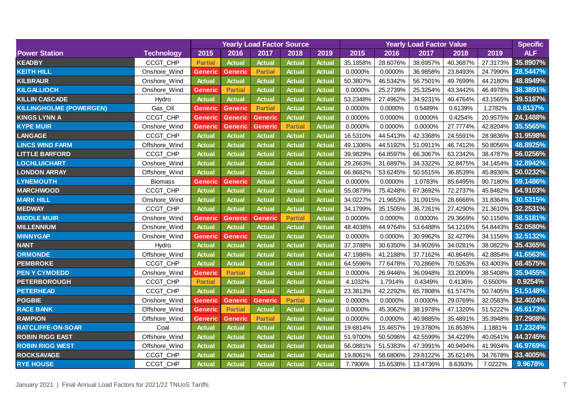|                                |                   |                |                | <b>Yearly Load Factor Source</b> |                |               |          | <b>Specific</b> |          |          |          |            |
|--------------------------------|-------------------|----------------|----------------|----------------------------------|----------------|---------------|----------|-----------------|----------|----------|----------|------------|
| <b>Power Station</b>           | <b>Technology</b> | 2015           | 2016           | 2017                             | 2018           | 2019          | 2015     | 2016            | 2017     | 2018     | 2019     | <b>ALF</b> |
| <b>KEADBY</b>                  | CCGT_CHP          | <b>Partial</b> | <b>Actual</b>  | <b>Actual</b>                    | <b>Actual</b>  | <b>Actual</b> | 35.1858% | 28.6076%        | 38.6957% | 40.3687% | 27.3173% | 35.8907%   |
| <b>KEITH HILL</b>              | Onshore_Wind      | Generic        | <b>Generic</b> | <b>Partial</b>                   | <b>Actual</b>  | Actual        | 0.0000%  | 0.0000%         | 36.9858% | 23.8493% | 24.7990% | 28.5447%   |
| <b>KILBRAUR</b>                | Onshore_Wind      | <b>Actual</b>  | <b>Actual</b>  | <b>Actual</b>                    | <b>Actual</b>  | Actual        | 50.3807% | 46.5342%        | 56.7501% | 49.7699% | 44.2180% | 48.8949%   |
| <b>KILGALLIOCH</b>             | Onshore_Wind      | <b>Generic</b> | <b>Partial</b> | <b>Actual</b>                    | <b>Actual</b>  | <b>Actual</b> | 0.0000%  | 25.2739%        | 25.3254% | 43.3442% | 46.4978% | 38.3891%   |
| <b>KILLIN CASCADE</b>          | Hydro             | <b>Actual</b>  | <b>Actual</b>  | <b>Actual</b>                    | <b>Actual</b>  | <b>Actual</b> | 53.2348% | 27.4962%        | 34.9231% | 40.4764% | 43.1565% | 39.5187%   |
| <b>KILLINGHOLME (POWERGEN)</b> | Gas_Oil           | <b>Generic</b> | <b>Generic</b> | <b>Partial</b>                   | <b>Actual</b>  | <b>Actual</b> | 0.0000%  | 0.0000%         | 0.5489%  | 0.6139%  | 1.2782%  | 0.8137%    |
| <b>KINGS LYNN A</b>            | CCGT_CHP          | <b>Generic</b> | <b>Generic</b> | <b>Generic</b>                   | <b>Actual</b>  | <b>Actual</b> | 0.0000%  | 0.0000%         | 0.0000%  | 0.4254%  | 20.9575% | 24.1488%   |
| <b>KYPE MUIR</b>               | Onshore_Wind      | <b>Generic</b> | <b>Generic</b> | <b>Generic</b>                   | <b>Partial</b> | <b>Actual</b> | 0.0000%  | 0.0000%         | 0.0000%  | 27.7774% | 42.8204% | 35.5565%   |
| <b>LANGAGE</b>                 | CCGT_CHP          | <b>Actual</b>  | <b>Actual</b>  | <b>Actual</b>                    | <b>Actual</b>  | <b>Actual</b> | 16.5310% | 44.5413%        | 42.3368% | 24.5591% | 28.9836% | 31.9598%   |
| <b>LINCS WIND FARM</b>         | Offshore_Wind     | <b>Actual</b>  | <b>Actual</b>  | <b>Actual</b>                    | <b>Actual</b>  | <b>Actual</b> | 49.1306% | 44.5192%        | 51.0911% | 46.7412% | 50.8056% | 48.8925%   |
| <b>LITTLE BARFORD</b>          | CCGT_CHP          | <b>Actual</b>  | <b>Actual</b>  | <b>Actual</b>                    | <b>Actual</b>  | <b>Actual</b> | 39.9829% | 64.8597%        | 66.3067% | 63.2342% | 38.4787% | 56.0256%   |
| <b>LOCHLUICHART</b>            | Onshore_Wind      | <b>Actual</b>  | <b>Actual</b>  | <b>Actual</b>                    | <b>Actual</b>  | Actual        | 29.2663% | 31.6897%        | 34.3322% | 32.8475% | 34.1454% | 32.8942%   |
| <b>LONDON ARRAY</b>            | Offshore_Wind     | <b>Actual</b>  | <b>Actual</b>  | <b>Actual</b>                    | <b>Actual</b>  | Actual        | 66.8682% | 53.6245%        | 50.5515% | 36.8539% | 45.8936% | 50.0232%   |
| <b>LYNEMOUTH</b>               | <b>Biomass</b>    | Generic        | <b>Generic</b> | Actual                           | <b>Actual</b>  | <b>Actual</b> | 0.0000%  | 0.0000%         | 1.0783%  | 85.6495% | 90.7180% | 59.1486%   |
| <b>MARCHWOOD</b>               | CCGT_CHP          | <b>Actual</b>  | Actual         | <b>Actual</b>                    | <b>Actual</b>  | Actual        | 55.0879% | 75.4248%        | 67.3692% | 72.2737% | 45.8482% | 64.9103%   |
| <b>MARK HILL</b>               | Onshore_Wind      | <b>Actual</b>  | Actual         | <b>Actual</b>                    | <b>Actual</b>  | Actual        | 34.0227% | 21.9653%        | 31.0915% | 28.6666% | 31.8364% | 30.5315%   |
| <b>MEDWAY</b>                  | CCGT_CHP          | <b>Actual</b>  | <b>Actual</b>  | Actual                           | <b>Actual</b>  | <b>Actual</b> | 34.1799% | 35.1505%        | 36.7261% | 27.4290% | 21.3610% | 32.2531%   |
| <b>MIDDLE MUIR</b>             | Onshore_Wind      | <b>Generic</b> | <b>Generic</b> | Generic                          | <b>Partial</b> | <b>Actual</b> | 0.0000%  | 0.0000%         | 0.0000%  | 29.3669% | 50.1156% | 38.5181%   |
| <b>MILLENNIUM</b>              | Onshore_Wind      | <b>Actual</b>  | Actual         | <b>Actual</b>                    | <b>Actual</b>  | <b>Actual</b> | 48.4038% | 44.9764%        | 53.6488% | 54.1216% | 54.8443% | 52.0580%   |
| <b>MINNYGAP</b>                | Onshore_Wind      | <b>Generic</b> | <b>Generic</b> | Actual                           | <b>Actual</b>  | <b>Actual</b> | 0.0000%  | 0.0000%         | 30.9962% | 32.4279% | 34.1156% | 32.5132%   |
| <b>NANT</b>                    | Hydro             | <b>Actual</b>  | <b>Actual</b>  | <b>Actual</b>                    | <b>Actual</b>  | <b>Actual</b> | 37.3788% | 30.6350%        | 34.9026% | 34.0281% | 38.0822% | 35.4365%   |
| <b>ORMONDE</b>                 | Offshore_Wind     | <b>Actual</b>  | <b>Actual</b>  | <b>Actual</b>                    | <b>Actual</b>  | <b>Actual</b> | 47.1986% | 41.2188%        | 37.7162% | 40.8646% | 42.8854% | 41.6563%   |
| <b>PEMBROKE</b>                | CCGT_CHP          | <b>Actual</b>  | <b>Actual</b>  | <b>Actual</b>                    | <b>Actual</b>  | <b>Actual</b> | 64.5596% | 77.6478%        | 70.2866% | 70.5263% | 63.4003% | 68.4575%   |
| <b>PEN Y CYMOEDD</b>           | Onshore_Wind      | <b>Generic</b> | <b>Partial</b> | <b>Actual</b>                    | <b>Actual</b>  | <b>Actual</b> | 0.0000%  | 26.9446%        | 36.0948% | 33.2009% | 38.5408% | 35.9455%   |
| <b>PETERBOROUGH</b>            | CCGT_CHP          | <b>Partial</b> | <b>Actual</b>  | <b>Actual</b>                    | <b>Actual</b>  | <b>Actual</b> | 4.1032%  | 1.7914%         | 0.4349%  | 0.4136%  | 0.5500%  | 0.9254%    |
| <b>PETERHEAD</b>               | CCGT_CHP          | <b>Actual</b>  | Actual         | <b>Actual</b>                    | <b>Actual</b>  | <b>Actual</b> | 23.3813% | 42.2292%        | 65.7808% | 61.5747% | 50.7405% | 51.5148%   |
| <b>POGBIE</b>                  | Onshore_Wind      | <b>Generic</b> | <b>Generic</b> | <b>Generic</b>                   | <b>Partial</b> | <b>Actual</b> | 0.0000%  | 0.0000%         | 0.0000%  | 29.0769% | 32.0583% | 32.4024%   |
| <b>RACE BANK</b>               | Offshore_Wind     | <b>Generic</b> | <b>Partial</b> | <b>Actual</b>                    | <b>Actual</b>  | Actual        | 0.0000%  | 45.3062%        | 38.1978% | 47.1320% | 51.5222% | 45.6173%   |
| <b>RAMPION</b>                 | Offshore_Wind     | <b>Generic</b> | <b>Generic</b> | <b>Partial</b>                   | <b>Actual</b>  | <b>Actual</b> | 0.0000%  | 0.0000%         | 40.9885% | 35.4891% | 35.3948% | 37.2908%   |
| <b>RATCLIFFE-ON-SOAR</b>       | Coal              | <b>Actual</b>  | <b>Actual</b>  | <b>Actual</b>                    | <b>Actual</b>  | <b>Actual</b> | 19.6814% | 15.4657%        | 19.3780% | 16.8536% | 1.1881%  | 17.2324%   |
| <b>ROBIN RIGG EAST</b>         | Offshore_Wind     | <b>Actual</b>  | <b>Actual</b>  | <b>Actual</b>                    | <b>Actual</b>  | <b>Actual</b> | 51.9700% | 50.5096%        | 42.5599% | 34.4229% | 40.0541% | 44.3745%   |
| <b>ROBIN RIGG WEST</b>         | Offshore_Wind     | <b>Actual</b>  | <b>Actual</b>  | <b>Actual</b>                    | <b>Actual</b>  | <b>Actual</b> | 56.0881% | 51.5383%        | 47.3991% | 40.9494% | 41.9934% | 46.9769%   |
| <b>ROCKSAVAGE</b>              | CCGT_CHP          | <b>Actual</b>  | <b>Actual</b>  | <b>Actual</b>                    | <b>Actual</b>  | <b>Actual</b> | 19.8061% | 58.6806%        | 29.8122% | 35.6214% | 34.7678% | 33.4005%   |
| <b>RYE HOUSE</b>               | CCGT_CHP          | <b>Actual</b>  | <b>Actual</b>  | <b>Actual</b>                    | <b>Actual</b>  | <b>Actual</b> | 7.7906%  | 15.6538%        | 13.4736% | 8.6393%  | 7.0222%  | 9.9678%    |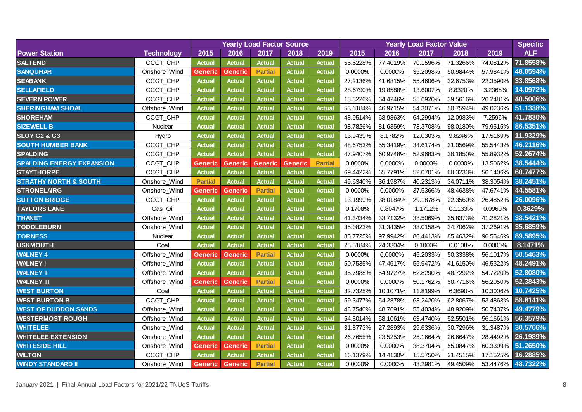|                                  |                   | <b>Yearly Load Factor Source</b> |                |                |                |                |          | <b>Specific</b> |          |          |          |            |
|----------------------------------|-------------------|----------------------------------|----------------|----------------|----------------|----------------|----------|-----------------|----------|----------|----------|------------|
| <b>Power Station</b>             | <b>Technology</b> | 2015                             | 2016           | 2017           | 2018           | 2019           | 2015     | 2016            | 2017     | 2018     | 2019     | <b>ALF</b> |
| <b>SALTEND</b>                   | CCGT_CHP          | <b>Actual</b>                    | <b>Actual</b>  | <b>Actual</b>  | <b>Actual</b>  | <b>Actual</b>  | 55.6228% | 77.4019%        | 70.1596% | 71.3266% | 74.0812% | 71.8558%   |
| <b>SANQUHAR</b>                  | Onshore_Wind      | Generic                          | <b>Generic</b> | <b>Partial</b> | <b>Actual</b>  | Actual         | 0.0000%  | 0.0000%         | 35.2098% | 50.9844% | 57.9841% | 48.0594%   |
| <b>SEABANK</b>                   | CCGT_CHP          | <b>Actual</b>                    | <b>Actual</b>  | <b>Actual</b>  | <b>Actual</b>  | Actual         | 27.2136% | 41.6815%        | 55.4606% | 32.6753% | 22.3590% | 33.8568%   |
| <b>SELLAFIELD</b>                | CCGT_CHP          | <b>Actual</b>                    | <b>Actual</b>  | <b>Actual</b>  | <b>Actual</b>  | <b>Actual</b>  | 28.6790% | 19.8588%        | 13.6007% | 8.8320%  | 3.2368%  | 14.0972%   |
| <b>SEVERN POWER</b>              | CCGT_CHP          | <b>Actual</b>                    | <b>Actual</b>  | <b>Actual</b>  | <b>Actual</b>  | <b>Actual</b>  | 18.3226% | 64.4246%        | 55.6920% | 39.5616% | 26.2481% | 40.5006%   |
| <b>SHERINGHAM SHOAL</b>          | Offshore_Wind     | <b>Actual</b>                    | <b>Actual</b>  | <b>Actual</b>  | <b>Actual</b>  | Actual         | 53.6184% | 46.9715%        | 54.3071% | 50.7594% | 49.0236% | 51.1338%   |
| <b>SHOREHAM</b>                  | CCGT_CHP          | <b>Actual</b>                    | <b>Actual</b>  | <b>Actual</b>  | <b>Actual</b>  | Actual         | 48.9514% | 68.9863%        | 64.2994% | 12.0983% | 7.2596%  | 41.7830%   |
| <b>SIZEWELL B</b>                | Nuclear           | <b>Actual</b>                    | <b>Actual</b>  | <b>Actual</b>  | <b>Actual</b>  | <b>Actual</b>  | 98.7826% | 81.6359%        | 73.3708% | 98.0180% | 79.9515% | 86.5351%   |
| <b>SLOY G2 &amp; G3</b>          | Hydro             | <b>Actual</b>                    | <b>Actual</b>  | <b>Actual</b>  | <b>Actual</b>  | <b>Actual</b>  | 13.9439% | 8.1782%         | 12.0303% | 9.8246%  | 17.5169% | 11.9329%   |
| <b>SOUTH HUMBER BANK</b>         | CCGT_CHP          | <b>Actual</b>                    | <b>Actual</b>  | <b>Actual</b>  | <b>Actual</b>  | <b>Actual</b>  | 48.6753% | 55.3419%        | 34.6174% | 31.0569% | 55.5443% | 46.2116%   |
| <b>SPALDING</b>                  | CCGT_CHP          | <b>Actual</b>                    | <b>Actual</b>  | <b>Actual</b>  | <b>Actual</b>  | <b>Actual</b>  | 47.9407% | 60.9748%        | 52.9683% | 38.1850% | 55.8932% | 52.2674%   |
| <b>SPALDING ENERGY EXPANSION</b> | CCGT_CHP          | Generic                          | <b>Generic</b> | Generic        | <b>Generic</b> | <b>Partial</b> | 0.0000%  | 0.0000%         | 0.0000%  | 0.0000%  | 13.5062% | 38.5444%   |
| <b>STAYTHORPE</b>                | CCGT_CHP          | <b>Actual</b>                    | <b>Actual</b>  | <b>Actual</b>  | <b>Actual</b>  | <b>Actual</b>  | 69.4422% | 65.7791%        | 52.0701% | 60.3233% | 56.1406% | 60.7477%   |
| <b>STRATHY NORTH &amp; SOUTH</b> | Onshore_Wind      | <b>Partial</b>                   | <b>Actual</b>  | <b>Actual</b>  | <b>Actual</b>  | <b>Actual</b>  | 49.6340% | 36.1987%        | 40.2313% | 34.0711% | 38.3054% | 38.2451%   |
| <b>STRONELAIRG</b>               | Onshore_Wind      | <b>Generic</b>                   | <b>Generic</b> | <b>Partial</b> | <b>Actual</b>  | Actual         | 0.0000%  | 0.0000%         | 37.5366% | 48.4638% | 47.6741% | 44.5581%   |
| <b>SUTTON BRIDGE</b>             | CCGT_CHP          | <b>Actual</b>                    | Actual         | <b>Actual</b>  | <b>Actual</b>  | Actual         | 13.1999% | 38.0184%        | 29.1878% | 22.3560% | 26.4852% | 26.0096%   |
| <b>TAYLORS LANE</b>              | Gas_Oil           | <b>Actual</b>                    | <b>Actual</b>  | <b>Actual</b>  | <b>Actual</b>  | <b>Actual</b>  | 0.1708%  | 0.8047%         | 1.1712%  | 0.1133%  | 0.0960%  | 0.3629%    |
| <b>THANET</b>                    | Offshore_Wind     | <b>Actual</b>                    | <b>Actual</b>  | <b>Actual</b>  | <b>Actual</b>  | <b>Actual</b>  | 41.3434% | 33.7132%        | 38.5069% | 35.8373% | 41.2821% | 38.5421%   |
| <b>TODDLEBURN</b>                | Onshore_Wind      | <b>Actual</b>                    | <b>Actual</b>  | <b>Actual</b>  | <b>Actual</b>  | <b>Actual</b>  | 35.0823% | 31.3435%        | 38.0158% | 34.7062% | 37.2691% | 35.6859%   |
| <b>TORNESS</b>                   | Nuclear           | <b>Actual</b>                    | <b>Actual</b>  | <b>Actual</b>  | <b>Actual</b>  | <b>Actual</b>  | 85.7725% | 97.9942%        | 86.4413% | 85.4632% | 96.5546% | 89.5895%   |
| <b>USKMOUTH</b>                  | Coal              | <b>Actual</b>                    | <b>Actual</b>  | <b>Actual</b>  | <b>Actual</b>  | <b>Actual</b>  | 25.5184% | 24.3304%        | 0.1000%  | 0.0108%  | 0.0000%  | 8.1471%    |
| <b>WALNEY 4</b>                  | Offshore_Wind     | <b>Generic</b>                   | <b>Generic</b> | <b>Partial</b> | <b>Actual</b>  | <b>Actual</b>  | 0.0000%  | 0.0000%         | 45.2033% | 50.3338% | 56.1017% | 50.5463%   |
| <b>WALNEY I</b>                  | Offshore_Wind     | <b>Actual</b>                    | <b>Actual</b>  | <b>Actual</b>  | <b>Actual</b>  | <b>Actual</b>  | 50.7535% | 47.4617%        | 55.9472% | 41.6150% | 46.5322% | 48.2491%   |
| <b>WALNEY II</b>                 | Offshore_Wind     | <b>Actual</b>                    | <b>Actual</b>  | <b>Actual</b>  | <b>Actual</b>  | <b>Actual</b>  | 35.7988% | 54.9727%        | 62.8290% | 48.7292% | 54.7220% | 52.8080%   |
| <b>WALNEY III</b>                | Offshore_Wind     | Generic                          | <b>Generic</b> | <b>Partial</b> | <b>Actual</b>  | <b>Actual</b>  | 0.0000%  | 0.0000%         | 50.1762% | 50.7716% | 56.2050% | 52.3843%   |
| <b>WEST BURTON</b>               | Coal              | <b>Actual</b>                    | <b>Actual</b>  | <b>Actual</b>  | <b>Actual</b>  | <b>Actual</b>  | 32.7325% | 10.1071%        | 11.8199% | 6.3690%  | 10.3006% | 10.7425%   |
| <b>WEST BURTON B</b>             | CCGT_CHP          | <b>Actual</b>                    | <b>Actual</b>  | <b>Actual</b>  | <b>Actual</b>  | <b>Actual</b>  | 59.3477% | 54.2878%        | 63.2420% | 62.8067% | 53.4863% | 58.8141%   |
| <b>WEST OF DUDDON SANDS</b>      | Offshore_Wind     | <b>Actual</b>                    | Actual         | <b>Actual</b>  | <b>Actual</b>  | Actual         | 48.7540% | 48.7691%        | 55.4034% | 48.9209% | 50.7437% | 49.4779%   |
| <b>WESTERMOST ROUGH</b>          | Offshore_Wind     | <b>Actual</b>                    | Actual         | <b>Actual</b>  | <b>Actual</b>  | <b>Actual</b>  | 54.8014% | 58.1061%        | 63.4740% | 52.5501% | 56.1661% | 56.3579%   |
| <b>WHITELEE</b>                  | Onshore_Wind      | <b>Actual</b>                    | <b>Actual</b>  | <b>Actual</b>  | <b>Actual</b>  | Actual         | 31.8773% | 27.2893%        | 29.6336% | 30.7296% | 31.3487% | 30.5706%   |
| <b>WHITELEE EXTENSION</b>        | Onshore_Wind      | <b>Actual</b>                    | <b>Actual</b>  | <b>Actual</b>  | <b>Actual</b>  | <b>Actual</b>  | 26.7655% | 23.5253%        | 25.1664% | 26.6647% | 28.4492% | 26.1989%   |
| <b>WHITESIDE HILL</b>            | Onshore_Wind      | <b>Generic</b>                   | <b>Generic</b> | <b>Partial</b> | <b>Actual</b>  | <b>Actual</b>  | 0.0000%  | 0.0000%         | 38.3704% | 55.0847% | 60.3399% | 51.2650%   |
| <b>WILTON</b>                    | CCGT_CHP          | <b>Actual</b>                    | Actual         | <b>Actual</b>  | <b>Actual</b>  | <b>Actual</b>  | 16.1379% | 14.4130%        | 15.5750% | 21.4515% | 17.1525% | 16.2885%   |
| <b>WINDY STANDARD II</b>         | Onshore_Wind      | <b>Generic</b>                   | <b>Generic</b> | <b>Partial</b> | <b>Actual</b>  | <b>Actual</b>  | 0.0000%  | 0.0000%         | 43.2981% | 49.4509% | 53.4476% | 48.7322%   |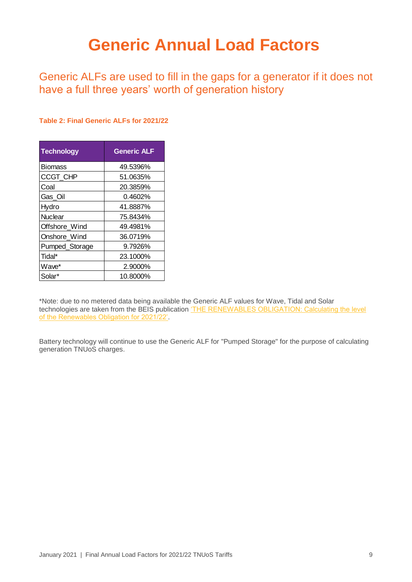## <span id="page-9-0"></span>**Generic Annual Load Factors**

Generic ALFs are used to fill in the gaps for a generator if it does not have a full three years' worth of generation history

#### **Table 2: Final Generic ALFs for 2021/22**

| <b>Technology</b> | <b>Generic ALF</b> |
|-------------------|--------------------|
| <b>Biomass</b>    | 49.5396%           |
| CCGT_CHP          | 51.0635%           |
| Coal              | 20.3859%           |
| Gas_Oil           | 0.4602%            |
| Hydro             | 41.8887%           |
| <b>Nuclear</b>    | 75.8434%           |
| Offshore_Wind     | 49.4981%           |
| Onshore Wind      | 36.0719%           |
| Pumped_Storage    | 9.7926%            |
| Tidal*            | 23.1000%           |
| Wave*             | 2.9000%            |
| Solar*            | 10.8000%           |

\*Note: due to no metered data being available the Generic ALF values for Wave, Tidal and Solar technologies are taken from the BEIS publication 'THE RENEWABLES OBLIGATION: Calculating the level [of the Renewables Obligation for 2021/22'.](https://www.gov.uk/government/publications/renewables-obligation-level-calculations-2021-to-2022)

Battery technology will continue to use the Generic ALF for "Pumped Storage" for the purpose of calculating generation TNUoS charges.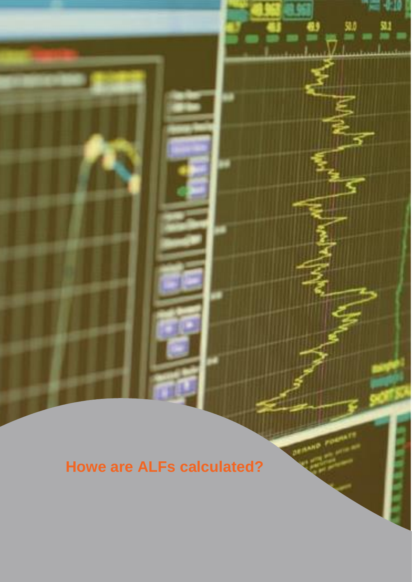**Howe are ALFs calculated?**

<span id="page-10-0"></span>꽉

**DENAND POR** 

黚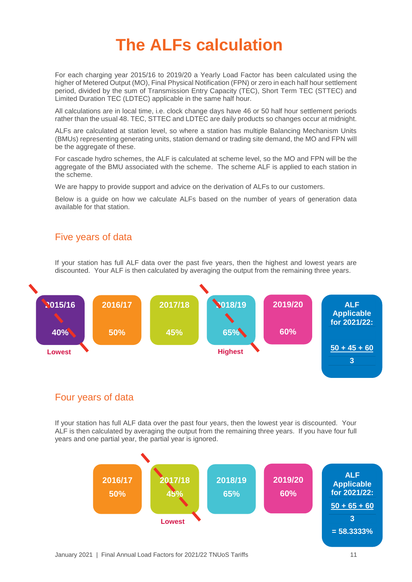## <span id="page-11-0"></span>**The ALFs calculation**

For each charging year 2015/16 to 2019/20 a Yearly Load Factor has been calculated using the higher of Metered Output (MO), Final Physical Notification (FPN) or zero in each half hour settlement period, divided by the sum of Transmission Entry Capacity (TEC), Short Term TEC (STTEC) and Limited Duration TEC (LDTEC) applicable in the same half hour.

All calculations are in local time, i.e. clock change days have 46 or 50 half hour settlement periods rather than the usual 48. TEC, STTEC and LDTEC are daily products so changes occur at midnight.

ALFs are calculated at station level, so where a station has multiple Balancing Mechanism Units (BMUs) representing generating units, station demand or trading site demand, the MO and FPN will be the aggregate of these.

For cascade hydro schemes, the ALF is calculated at scheme level, so the MO and FPN will be the aggregate of the BMU associated with the scheme. The scheme ALF is applied to each station in the scheme.

We are happy to provide support and advice on the derivation of ALFs to our customers.

Below is a guide on how we calculate ALFs based on the number of years of generation data available for that station.

#### Five years of data

If your station has full ALF data over the past five years, then the highest and lowest years are discounted. Your ALF is then calculated by averaging the output from the remaining three years.



#### Four years of data

If your station has full ALF data over the past four years, then the lowest year is discounted. Your ALF is then calculated by averaging the output from the remaining three years. If you have four full years and one partial year, the partial year is ignored.

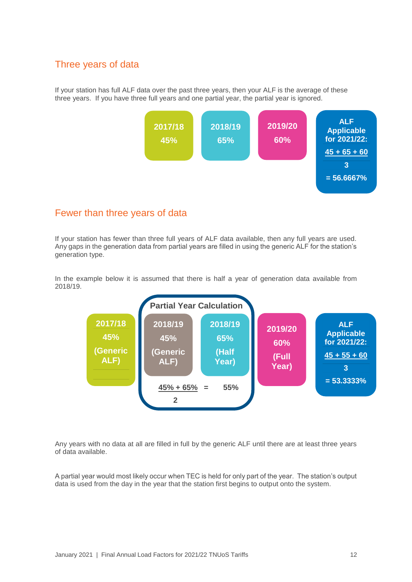#### Three years of data

If your station has full ALF data over the past three years, then your ALF is the average of these three years. If you have three full years and one partial year, the partial year is ignored.



#### Fewer than three years of data

If your station has fewer than three full years of ALF data available, then any full years are used. Any gaps in the generation data from partial years are filled in using the generic ALF for the station's generation type.

In the example below it is assumed that there is half a year of generation data available from 2018/19.



Any years with no data at all are filled in full by the generic ALF until there are at least three years of data available.

A partial year would most likely occur when TEC is held for only part of the year. The station's output data is used from the day in the year that the station first begins to output onto the system.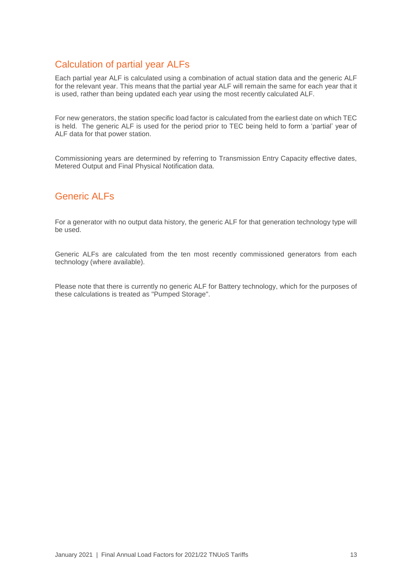#### Calculation of partial year ALFs

Each partial year ALF is calculated using a combination of actual station data and the generic ALF for the relevant year. This means that the partial year ALF will remain the same for each year that it is used, rather than being updated each year using the most recently calculated ALF.

For new generators, the station specific load factor is calculated from the earliest date on which TEC is held. The generic ALF is used for the period prior to TEC being held to form a 'partial' year of ALF data for that power station.

Commissioning years are determined by referring to Transmission Entry Capacity effective dates, Metered Output and Final Physical Notification data.

#### Generic ALFs

For a generator with no output data history, the generic ALF for that generation technology type will be used.

Generic ALFs are calculated from the ten most recently commissioned generators from each technology (where available).

Please note that there is currently no generic ALF for Battery technology, which for the purposes of these calculations is treated as "Pumped Storage".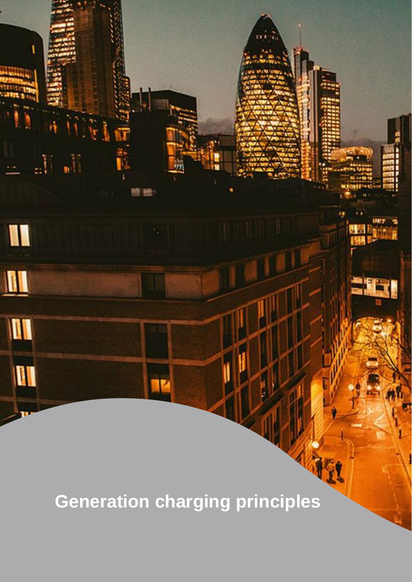<span id="page-14-0"></span>**Generation charging principles**

al.

W

 $\blacksquare$ 

III

**III** 

a U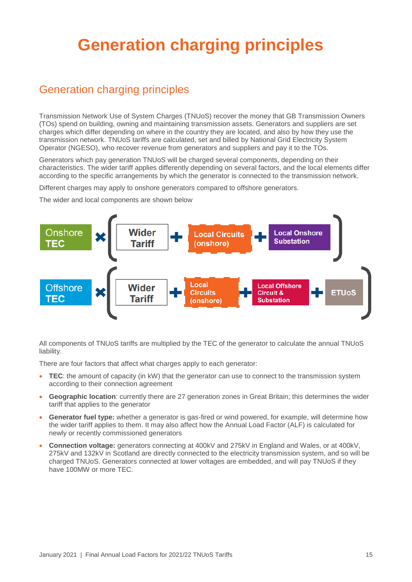## <span id="page-15-0"></span>**Generation charging principles**

## Generation charging principles

Transmission Network Use of System Charges (TNUoS) recover the money that GB Transmission Owners (TOs) spend on building, owning and maintaining transmission assets. Generators and suppliers are set charges which differ depending on where in the country they are located, and also by how they use the transmission network. TNUoS tariffs are calculated, set and billed by National Grid Electricity System Operator (NGESO), who recover revenue from generators and suppliers and pay it to the TOs.

Generators which pay generation TNUoS will be charged several components, depending on their characteristics. The wider tariff applies differently depending on several factors, and the local elements differ according to the specific arrangements by which the generator is connected to the transmission network.

Different charges may apply to onshore generators compared to offshore generators.

The wider and local components are shown below



All components of TNUoS tariffs are multiplied by the TEC of the generator to calculate the annual TNUoS liability.

There are four factors that affect what charges apply to each generator:

- **TEC**: the amount of capacity (in kW) that the generator can use to connect to the transmission system according to their connection agreement
- **Geographic location**: currently there are 27 generation zones in Great Britain; this determines the wider tariff that applies to the generator
- **Generator fuel type:** whether a generator is gas-fired or wind powered, for example, will determine how the wider tariff applies to them. It may also affect how the Annual Load Factor (ALF) is calculated for newly or recently commissioned generators
- **Connection voltage:** generators connecting at 400kV and 275kV in England and Wales, or at 400kV, 275kV and 132kV in Scotland are directly connected to the electricity transmission system, and so will be charged TNUoS. Generators connected at lower voltages are embedded, and will pay TNUoS if they have 100MW or more TEC.